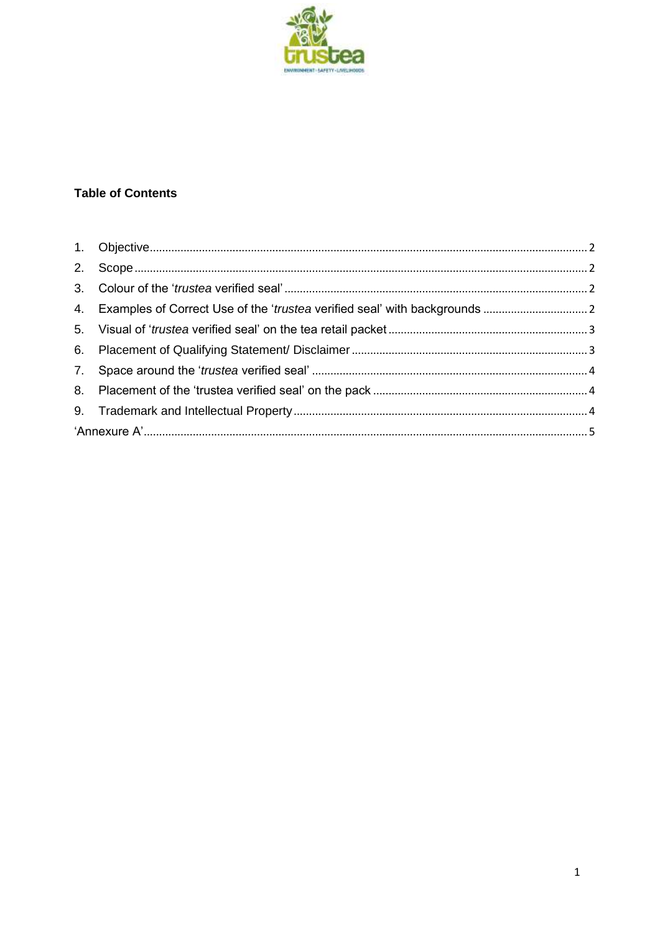

# **Table of Contents**

| 4. Examples of Correct Use of the 'trustea verified seal' with backgrounds |  |
|----------------------------------------------------------------------------|--|
|                                                                            |  |
|                                                                            |  |
|                                                                            |  |
|                                                                            |  |
|                                                                            |  |
|                                                                            |  |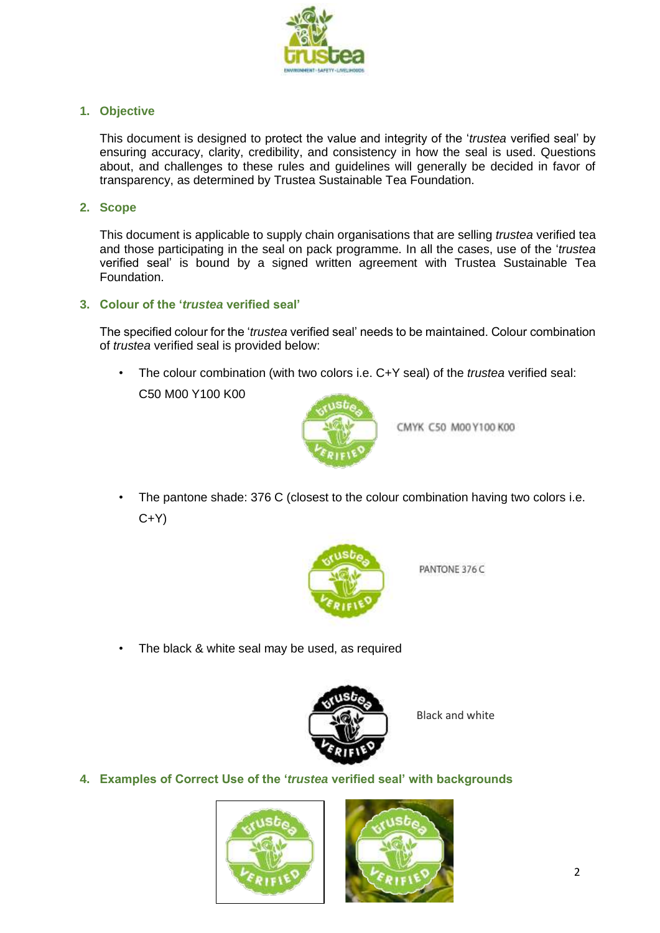

## <span id="page-1-0"></span>**1. Objective**

This document is designed to protect the value and integrity of the '*trustea* verified seal' by ensuring accuracy, clarity, credibility, and consistency in how the seal is used. Questions about, and challenges to these rules and guidelines will generally be decided in favor of transparency, as determined by Trustea Sustainable Tea Foundation.

#### <span id="page-1-1"></span>**2. Scope**

This document is applicable to supply chain organisations that are selling *trustea* verified tea and those participating in the seal on pack programme. In all the cases, use of the '*trustea* verified seal' is bound by a signed written agreement with Trustea Sustainable Tea Foundation.

### <span id="page-1-2"></span>**3. Colour of the '***trustea* **verified seal'**

The specified colour for the '*trustea* verified seal' needs to be maintained. Colour combination of *trustea* verified seal is provided below:

• The colour combination (with two colors i.e. C+Y seal) of the *trustea* verified seal: C50 M00 Y100 K00



CMYK C50 M00 Y100 K00

• The pantone shade: 376 C (closest to the colour combination having two colors i.e.  $C+Y$ 



PANTONE 376 C

The black & white seal may be used, as required



Black and white

<span id="page-1-3"></span>**4. Examples of Correct Use of the '***trustea* **verified seal' with backgrounds**



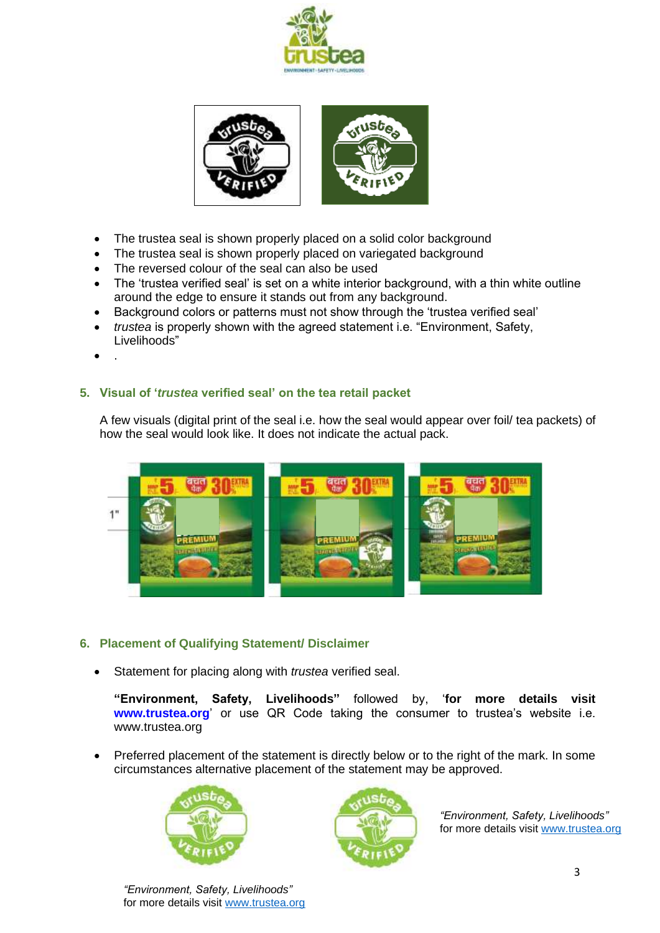



- The trustea seal is shown properly placed on a solid color background
- The trustea seal is shown properly placed on variegated background
- The reversed colour of the seal can also be used
- The 'trustea verified seal' is set on a white interior background, with a thin white outline around the edge to ensure it stands out from any background.
- Background colors or patterns must not show through the 'trustea verified seal'
- *trustea* is properly shown with the agreed statement i.e. "Environment, Safety, Livelihoods"
- .

## <span id="page-2-0"></span>**5. Visual of '***trustea* **verified seal' on the tea retail packet**

A few visuals (digital print of the seal i.e. how the seal would appear over foil/ tea packets) of how the seal would look like. It does not indicate the actual pack.



### <span id="page-2-1"></span>**6. Placement of Qualifying Statement/ Disclaimer**

• Statement for placing along with *trustea* verified seal.

**"Environment, Safety, Livelihoods"** followed by, '**for more details visit [www.trustea.org](http://www.trustea.org/)**' or use QR Code taking the consumer to trustea's website i.e. www.trustea.org

• Preferred placement of the statement is directly below or to the right of the mark. In some circumstances alternative placement of the statement may be approved.





*"Environment, Safety, Livelihoods"*  for more details visit [www.trustea.org](http://www.trustea.org/)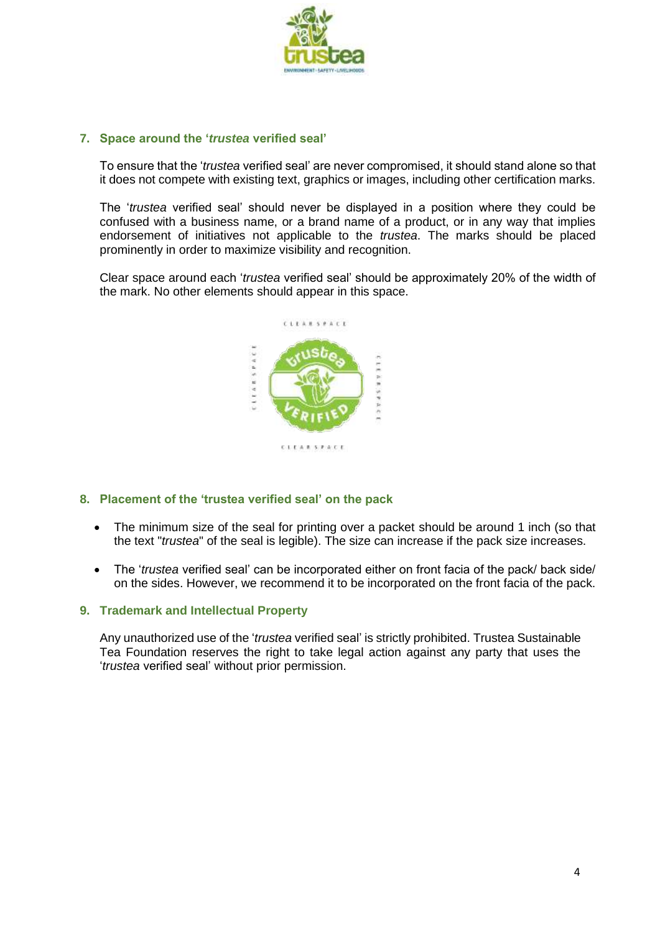

## <span id="page-3-0"></span>**7. Space around the '***trustea* **verified seal'**

To ensure that the '*trustea* verified seal' are never compromised, it should stand alone so that it does not compete with existing text, graphics or images, including other certification marks.

The '*trustea* verified seal' should never be displayed in a position where they could be confused with a business name, or a brand name of a product, or in any way that implies endorsement of initiatives not applicable to the *trustea*. The marks should be placed prominently in order to maximize visibility and recognition.

Clear space around each '*trustea* verified seal' should be approximately 20% of the width of the mark. No other elements should appear in this space.



### <span id="page-3-1"></span>**8. Placement of the 'trustea verified seal' on the pack**

- The minimum size of the seal for printing over a packet should be around 1 inch (so that the text "*trustea*" of the seal is legible). The size can increase if the pack size increases.
- The '*trustea* verified seal' can be incorporated either on front facia of the pack/ back side/ on the sides. However, we recommend it to be incorporated on the front facia of the pack.

### <span id="page-3-2"></span>**9. Trademark and Intellectual Property**

Any unauthorized use of the '*trustea* verified seal' is strictly prohibited. Trustea Sustainable Tea Foundation reserves the right to take legal action against any party that uses the '*trustea* verified seal' without prior permission.